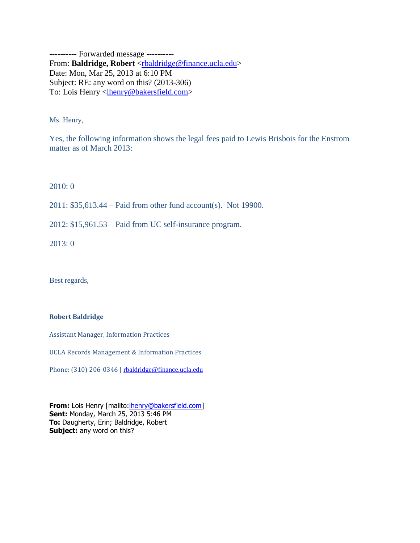---------- Forwarded message ---------- From: Baldridge, Robert [<rbaldridge@finance.ucla.edu>](mailto:rbaldridge@finance.ucla.edu) Date: Mon, Mar 25, 2013 at 6:10 PM Subject: RE: any word on this? (2013-306) To: Lois Henry <**lhenry@bakersfield.com>** 

Ms. Henry,

Yes, the following information shows the legal fees paid to Lewis Brisbois for the Enstrom matter as of March 2013:

2010: 0

2011: \$35,613.44 – Paid from other fund account(s). Not 19900.

2012: \$15,961.53 – Paid from UC self-insurance program.

2013: 0

Best regards,

## **Robert Baldridge**

Assistant Manager, Information Practices

UCLA Records Management & Information Practices

Phone: (310) 206-0346 | [rbaldridge@finance.ucla.edu](mailto:rbaldridge@finance.ucla.edu)

**From:** Lois Henry [mailto: **henry@bakersfield.com**] **Sent:** Monday, March 25, 2013 5:46 PM **To:** Daugherty, Erin; Baldridge, Robert **Subject:** any word on this?